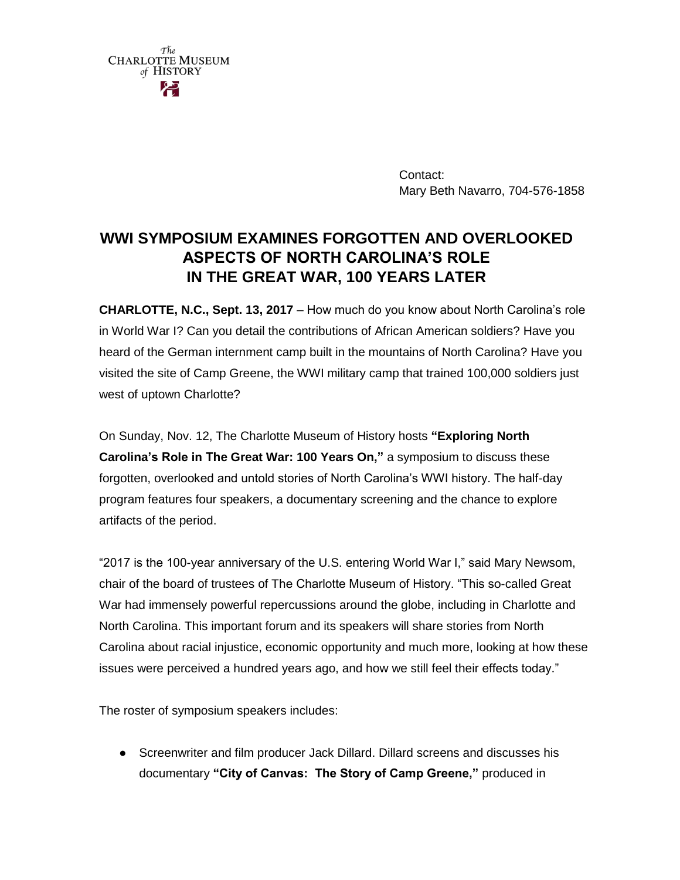| The                     |
|-------------------------|
| <b>CHARLOTTE MUSEUM</b> |
| of HISTORY              |
| حع                      |

Contact: Mary Beth Navarro, 704-576-1858

# **WWI SYMPOSIUM EXAMINES FORGOTTEN AND OVERLOOKED ASPECTS OF NORTH CAROLINA'S ROLE IN THE GREAT WAR, 100 YEARS LATER**

**CHARLOTTE, N.C., Sept. 13, 2017** – How much do you know about North Carolina's role in World War I? Can you detail the contributions of African American soldiers? Have you heard of the German internment camp built in the mountains of North Carolina? Have you visited the site of Camp Greene, the WWI military camp that trained 100,000 soldiers just west of uptown Charlotte?

On Sunday, Nov. 12, The Charlotte Museum of History hosts **"Exploring North Carolina's Role in The Great War: 100 Years On,"** a symposium to discuss these forgotten, overlooked and untold stories of North Carolina's WWI history. The half-day program features four speakers, a documentary screening and the chance to explore artifacts of the period.

"2017 is the 100-year anniversary of the U.S. entering World War I," said Mary Newsom, chair of the board of trustees of The Charlotte Museum of History. "This so-called Great War had immensely powerful repercussions around the globe, including in Charlotte and North Carolina. This important forum and its speakers will share stories from North Carolina about racial injustice, economic opportunity and much more, looking at how these issues were perceived a hundred years ago, and how we still feel their effects today."

The roster of symposium speakers includes:

● Screenwriter and film producer Jack Dillard. Dillard screens and discusses his documentary **"City of Canvas: The Story of Camp Greene,"** produced in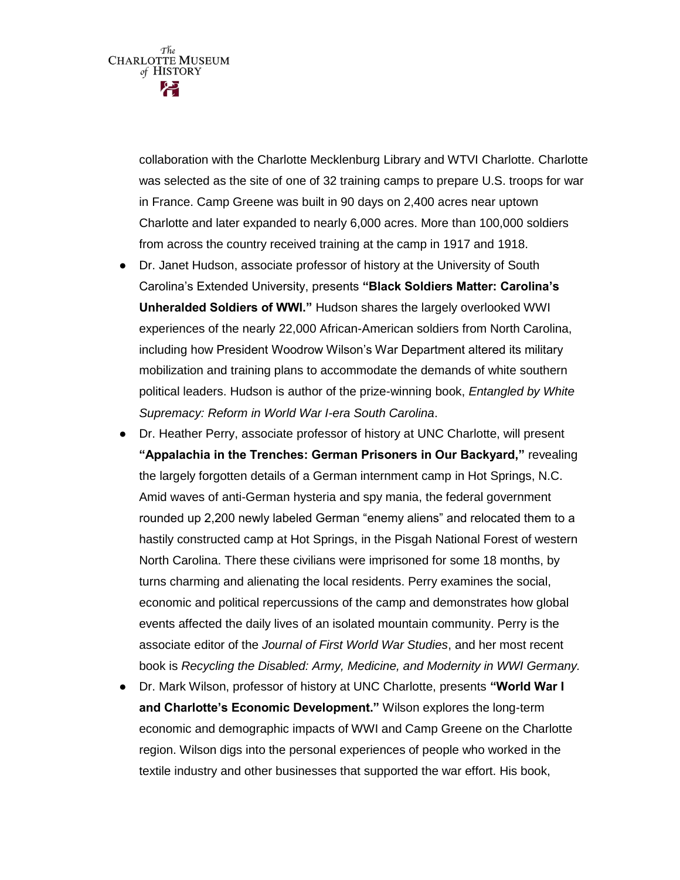$\tau_{he}^{*}$ CHARLOTTE MUSEUM of HISTORY

> collaboration with the Charlotte Mecklenburg Library and WTVI Charlotte. Charlotte was selected as the site of one of 32 training camps to prepare U.S. troops for war in France. Camp Greene was built in 90 days on 2,400 acres near uptown Charlotte and later expanded to nearly 6,000 acres. More than 100,000 soldiers from across the country received training at the camp in 1917 and 1918.

- Dr. Janet Hudson, associate professor of history at the University of South Carolina's Extended University, presents **"Black Soldiers Matter: Carolina's Unheralded Soldiers of WWI."** Hudson shares the largely overlooked WWI experiences of the nearly 22,000 African-American soldiers from North Carolina, including how President Woodrow Wilson's War Department altered its military mobilization and training plans to accommodate the demands of white southern political leaders. Hudson is author of the prize-winning book, *Entangled by White Supremacy: Reform in World War I-era South Carolina*.
- Dr. Heather Perry, associate professor of history at UNC Charlotte, will present **"Appalachia in the Trenches: German Prisoners in Our Backyard,"** revealing the largely forgotten details of a German internment camp in Hot Springs, N.C. Amid waves of anti-German hysteria and spy mania, the federal government rounded up 2,200 newly labeled German "enemy aliens" and relocated them to a hastily constructed camp at Hot Springs, in the Pisgah National Forest of western North Carolina. There these civilians were imprisoned for some 18 months, by turns charming and alienating the local residents. Perry examines the social, economic and political repercussions of the camp and demonstrates how global events affected the daily lives of an isolated mountain community. Perry is the associate editor of the *Journal of First World War Studies*, and her most recent book is *Recycling the Disabled: Army, Medicine, and Modernity in WWI Germany.*
- Dr. Mark Wilson, professor of history at UNC Charlotte, presents **"World War I and Charlotte's Economic Development."** Wilson explores the long-term economic and demographic impacts of WWI and Camp Greene on the Charlotte region. Wilson digs into the personal experiences of people who worked in the textile industry and other businesses that supported the war effort. His book,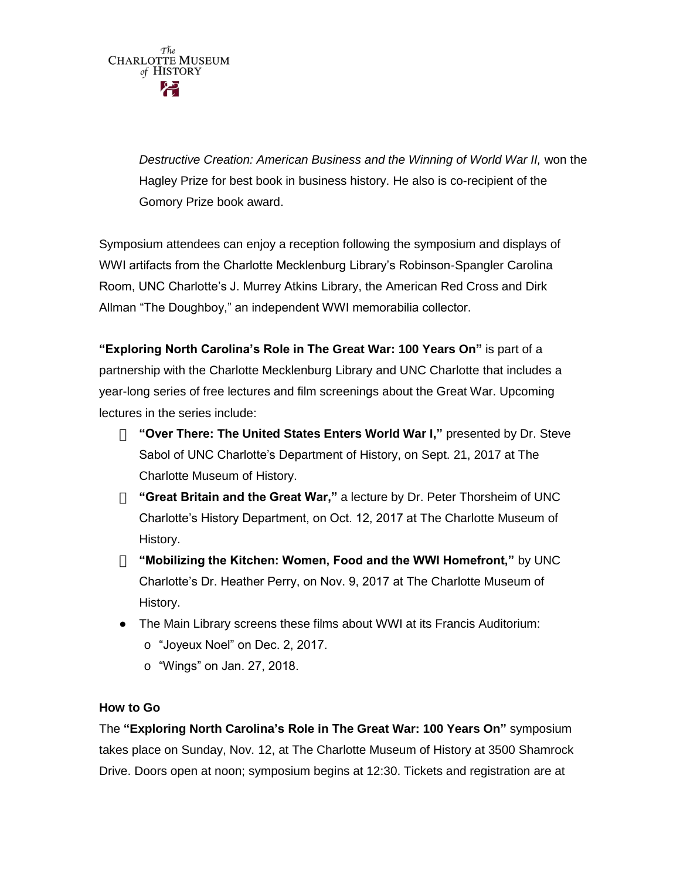*Destructive Creation: American Business and the Winning of World War II,* won the Hagley Prize for best book in business history. He also is co-recipient of the Gomory Prize book award.

Symposium attendees can enjoy a reception following the symposium and displays of WWI artifacts from the Charlotte Mecklenburg Library's Robinson-Spangler Carolina Room, UNC Charlotte's J. Murrey Atkins Library, the American Red Cross and Dirk Allman "The Doughboy," an independent WWI memorabilia collector.

**"Exploring North Carolina's Role in The Great War: 100 Years On"** is part of a partnership with the Charlotte Mecklenburg Library and UNC Charlotte that includes a year-long series of free lectures and film screenings about the Great War. Upcoming lectures in the series include:

- **"Over There: The United States Enters World War I,"** presented by Dr. Steve Sabol of UNC Charlotte's Department of History, on Sept. 21, 2017 at The Charlotte Museum of History.
- **"Great Britain and the Great War,"** a lecture by Dr. Peter Thorsheim of UNC Charlotte's History Department, on Oct. 12, 2017 at The Charlotte Museum of History.
- **"Mobilizing the Kitchen: Women, Food and the WWI Homefront,"** by UNC Charlotte's Dr. Heather Perry, on Nov. 9, 2017 at The Charlotte Museum of History.
- The Main Library screens these films about WWI at its Francis Auditorium:
	- o "Joyeux Noel" on Dec. 2, 2017.
	- o "Wings" on Jan. 27, 2018.

## **How to Go**

The **"Exploring North Carolina's Role in The Great War: 100 Years On"** symposium takes place on Sunday, Nov. 12, at The Charlotte Museum of History at 3500 Shamrock Drive. Doors open at noon; symposium begins at 12:30. Tickets and registration are at